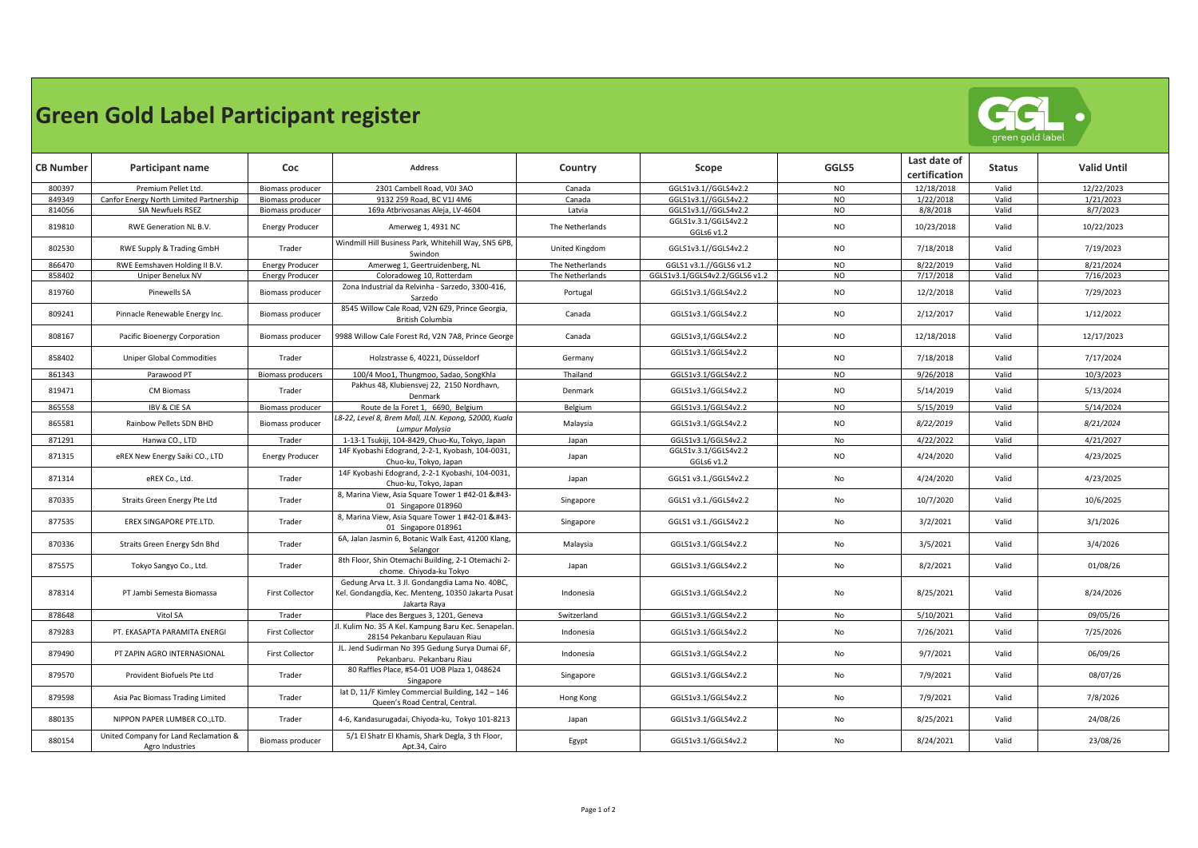## **Green Gold Label Participant register**



| <b>CB Number</b> | Participant name                                         | Coc                      | <b>Address</b>                                                                                                        | Country               | Scope                              | GGLS5     | Last date of<br>certification | <b>Status</b> | <b>Valid Until</b> |
|------------------|----------------------------------------------------------|--------------------------|-----------------------------------------------------------------------------------------------------------------------|-----------------------|------------------------------------|-----------|-------------------------------|---------------|--------------------|
| 800397           | Premium Pellet Ltd.                                      | Biomass producer         | 2301 Cambell Road, V0J 3AO                                                                                            | Canada                | GGLS1v3.1//GGLS4v2.2               | NO.       | 12/18/2018                    | Valid         | 12/22/2023         |
| 849349           | Canfor Energy North Limited Partnership                  | Biomass producer         | 9132 259 Road, BC V1J 4M6                                                                                             | Canada                | GGLS1v3.1//GGLS4v2.2               | <b>NO</b> | 1/22/2018                     | Valid         | 1/21/2023          |
| 814056           | SIA Newfuels RSEZ                                        | Biomass producer         | 169a Atbrivosanas Aleja, LV-4604                                                                                      | Latvia                | GGLS1v3.1//GGLS4v2.2               | <b>NO</b> | 8/8/2018                      | Valid         | 8/7/2023           |
| 819810           | RWE Generation NL B.V.                                   | <b>Energy Producer</b>   | Amerweg 1, 4931 NC                                                                                                    | The Netherlands       | GGLS1v.3.1/GGLS4v2.2<br>GGLs6 v1.2 | <b>NO</b> | 10/23/2018                    | Valid         | 10/22/2023         |
| 802530           | RWE Supply & Trading GmbH                                | Trader                   | Windmill Hill Business Park, Whitehill Way, SN5 6PB,<br>Swindon                                                       | <b>United Kingdom</b> | GGLS1v3.1//GGLS4v2.2               | <b>NO</b> | 7/18/2018                     | Valid         | 7/19/2023          |
| 866470           | RWE Eemshaven Holding II B.V.                            | <b>Energy Producer</b>   | Amerweg 1, Geertruidenberg, NL                                                                                        | The Netherlands       | GGLS1 v3.1.//GGLS6 v1.2            | <b>NO</b> | 8/22/2019                     | Valid         | 8/21/2024          |
| 858402           | Uniper Benelux NV                                        | <b>Energy Producer</b>   | Coloradoweg 10, Rotterdam                                                                                             | The Netherlands       | GGLS1v3.1/GGLS4v2.2/GGLS6 v1.2     | <b>NO</b> | 7/17/2018                     | Valid         | 7/16/2023          |
| 819760           | Pinewells SA                                             | <b>Biomass producer</b>  | Zona Industrial da Relvinha - Sarzedo, 3300-416,<br>Sarzedo                                                           | Portugal              | GGLS1v3.1/GGLS4v2.2                | <b>NO</b> | 12/2/2018                     | Valid         | 7/29/2023          |
| 809241           | Pinnacle Renewable Energy Inc.                           | Biomass producer         | 8545 Willow Cale Road, V2N 6Z9, Prince Georgia,<br>British Columbia                                                   | Canada                | GGLS1v3.1/GGLS4v2.2                | <b>NO</b> | 2/12/2017                     | Valid         | 1/12/2022          |
| 808167           | Pacific Bioenergy Corporation                            | <b>Biomass producer</b>  | 9988 Willow Cale Forest Rd, V2N 7A8, Prince George                                                                    | Canada                | GGLS1v3,1/GGLS4v2.2                | <b>NO</b> | 12/18/2018                    | Valid         | 12/17/2023         |
| 858402           | <b>Uniper Global Commodities</b>                         | Trader                   | Holzstrasse 6, 40221, Düsseldorf                                                                                      | Germany               | GGLS1v3.1/GGLS4v2.2                | <b>NO</b> | 7/18/2018                     | Valid         | 7/17/2024          |
| 861343           | Parawood PT                                              | <b>Biomass producers</b> | 100/4 Moo1, Thungmoo, Sadao, SongKhla                                                                                 | Thailand              | GGLS1v3.1/GGLS4v2.2                | <b>NO</b> | 9/26/2018                     | Valid         | 10/3/2023          |
| 819471           | <b>CM Biomass</b>                                        | Trader                   | Pakhus 48, Klubiensvej 22, 2150 Nordhavn,<br>Denmark                                                                  | Denmark               | GGLS1v3.1/GGLS4v2.2                | <b>NO</b> | 5/14/2019                     | Valid         | 5/13/2024          |
| 865558           | <b>IBV &amp; CIE SA</b>                                  | Biomass producer         | Route de la Foret 1, 6690, Belgium                                                                                    | Belgium               | GGLS1v3.1/GGLS4v2.2                | <b>NO</b> | 5/15/2019                     | Valid         | 5/14/2024          |
| 865581           | Rainbow Pellets SDN BHD                                  | Biomass producer         | L8-22, Level 8, Brem Mall, JLN. Kepong, 52000, Kuala<br>Lumpur Malysia                                                | Malaysia              | GGLS1v3.1/GGLS4v2.2                | <b>NO</b> | 8/22/2019                     | Valid         | 8/21/2024          |
| 871291           | Hanwa CO., LTD                                           | Trader                   | 1-13-1 Tsukiji, 104-8429, Chuo-Ku, Tokyo, Japan                                                                       | Japan                 | GGLS1v3.1/GGLS4v2.2                | No        | 4/22/2022                     | Valid         | 4/21/2027          |
| 871315           | eREX New Energy Saiki CO., LTD                           | <b>Energy Producer</b>   | 14F Kyobashi Edogrand, 2-2-1, Kyobash, 104-0031,<br>Chuo-ku, Tokyo, Japan                                             | Japan                 | GGLS1v.3.1/GGLS4v2.2<br>GGLs6 v1.2 | <b>NO</b> | 4/24/2020                     | Valid         | 4/23/2025          |
| 871314           | eREX Co., Ltd.                                           | Trader                   | 14F Kyobashi Edogrand, 2-2-1 Kyobashi, 104-0031,<br>Chuo-ku, Tokyo, Japan                                             | Japan                 | GGLS1 v3.1./GGLS4v2.2              | No        | 4/24/2020                     | Valid         | 4/23/2025          |
| 870335           | Straits Green Energy Pte Ltd                             | Trader                   | 8, Marina View, Asia Square Tower 1 #42-01 & #43-<br>01 Singapore 018960                                              | Singapore             | GGLS1 v3.1./GGLS4v2.2              | No        | 10/7/2020                     | Valid         | 10/6/2025          |
| 877535           | EREX SINGAPORE PTE.LTD.                                  | Trader                   | 8, Marina View, Asia Square Tower 1 #42-01 & #43-<br>01 Singapore 018961                                              | Singapore             | GGLS1 v3.1./GGLS4v2.2              | No        | 3/2/2021                      | Valid         | 3/1/2026           |
| 870336           | Straits Green Energy Sdn Bhd                             | Trader                   | 6A, Jalan Jasmin 6, Botanic Walk East, 41200 Klang,<br>Selangor                                                       | Malaysia              | GGLS1v3.1/GGLS4v2.2                | No        | 3/5/2021                      | Valid         | 3/4/2026           |
| 875575           | Tokyo Sangyo Co., Ltd.                                   | Trader                   | 8th Floor, Shin Otemachi Building, 2-1 Otemachi 2-<br>chome. Chiyoda-ku Tokyo                                         | Japan                 | GGLS1v3.1/GGLS4v2.2                | No        | 8/2/2021                      | Valid         | 01/08/26           |
| 878314           | PT Jambi Semesta Biomassa                                | <b>First Collector</b>   | Gedung Arva Lt. 3 Jl. Gondangdia Lama No. 40BC,<br>Kel. Gondangdia, Kec. Menteng, 10350 Jakarta Pusat<br>Jakarta Raya | Indonesia             | GGLS1v3.1/GGLS4v2.2                | No        | 8/25/2021                     | Valid         | 8/24/2026          |
| 878648           | Vitol SA                                                 | Trader                   | Place des Bergues 3, 1201, Geneva                                                                                     | Switzerland           | GGLS1v3.1/GGLS4v2.2                | No        | 5/10/2021                     | Valid         | 09/05/26           |
| 879283           | PT. EKASAPTA PARAMITA ENERGI                             | <b>First Collector</b>   | II. Kulim No. 35 A Kel. Kampung Baru Kec. Senapelan<br>28154 Pekanbaru Kepulauan Riau                                 | Indonesia             | GGLS1v3.1/GGLS4v2.2                | No        | 7/26/2021                     | Valid         | 7/25/2026          |
| 879490           | PT ZAPIN AGRO INTERNASIONAL                              | <b>First Collector</b>   | JL. Jend Sudirman No 395 Gedung Surya Dumai 6F,<br>Pekanbaru. Pekanbaru Riau                                          | Indonesia             | GGLS1v3.1/GGLS4v2.2                | No        | 9/7/2021                      | Valid         | 06/09/26           |
| 879570           | Provident Biofuels Pte Ltd                               | Trader                   | 80 Raffles Place, #54-01 UOB Plaza 1, 048624<br>Singapore                                                             | Singapore             | GGLS1v3.1/GGLS4v2.2                | No        | 7/9/2021                      | Valid         | 08/07/26           |
| 879598           | Asia Pac Biomass Trading Limited                         | Trader                   | lat D, 11/F Kimley Commercial Building, 142 - 146<br>Queen's Road Central, Central.                                   | Hong Kong             | GGLS1v3.1/GGLS4v2.2                | No        | 7/9/2021                      | Valid         | 7/8/2026           |
| 880135           | NIPPON PAPER LUMBER CO.,LTD.                             | Trader                   | 4-6, Kandasurugadai, Chiyoda-ku, Tokyo 101-8213                                                                       | Japan                 | GGLS1v3.1/GGLS4v2.2                | No        | 8/25/2021                     | Valid         | 24/08/26           |
| 880154           | United Company for Land Reclamation &<br>Agro Industries | Biomass producer         | 5/1 El Shatr El Khamis, Shark Degla, 3 th Floor,<br>Apt.34, Cairo                                                     | Egypt                 | GGLS1v3.1/GGLS4v2.2                | No        | 8/24/2021                     | Valid         | 23/08/26           |